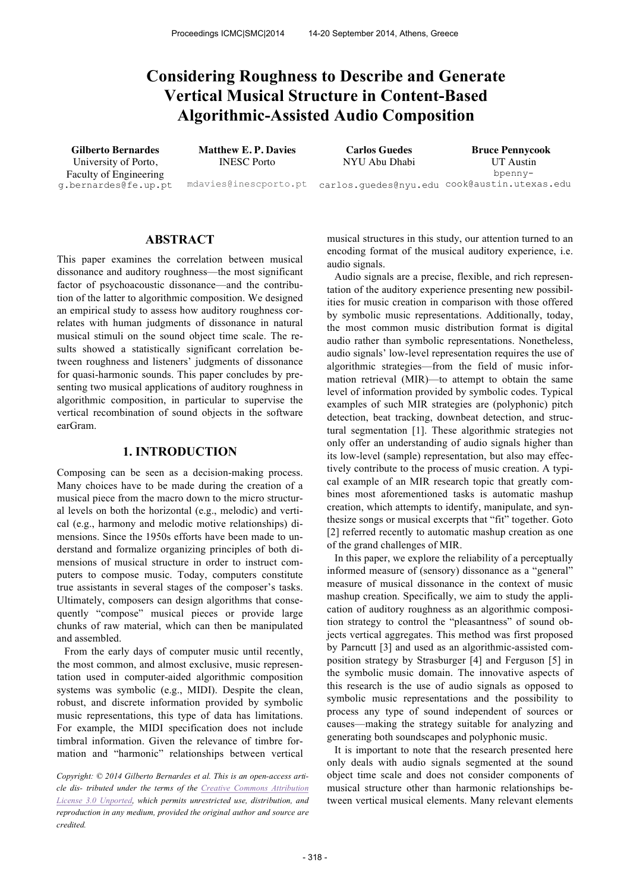# **Considering Roughness to Describe and Generate Vertical Musical Structure in Content-Based Algorithmic-Assisted Audio Composition**

University of Porto, Faculty of Engineering g.bernardes@fe.up.pt INESC Porto

NYU Abu Dhabi

**Gilberto Bernardes Matthew E. P. Davies Carlos Guedes Bruce Pennycook** mdavies@inescporto.pt carlos.guedes@nyu.edu cook@austin.utexas.edu UT Austin bpenny-

# **ABSTRACT**

This paper examines the correlation between musical dissonance and auditory roughness—the most significant factor of psychoacoustic dissonance—and the contribution of the latter to algorithmic composition. We designed an empirical study to assess how auditory roughness correlates with human judgments of dissonance in natural musical stimuli on the sound object time scale. The results showed a statistically significant correlation between roughness and listeners' judgments of dissonance for quasi-harmonic sounds. This paper concludes by presenting two musical applications of auditory roughness in algorithmic composition, in particular to supervise the vertical recombination of sound objects in the software earGram.

#### **1. INTRODUCTION**

Composing can be seen as a decision-making process. Many choices have to be made during the creation of a musical piece from the macro down to the micro structural levels on both the horizontal (e.g., melodic) and vertical (e.g., harmony and melodic motive relationships) dimensions. Since the 1950s efforts have been made to understand and formalize organizing principles of both dimensions of musical structure in order to instruct computers to compose music. Today, computers constitute true assistants in several stages of the composer's tasks. Ultimately, composers can design algorithms that consequently "compose" musical pieces or provide large chunks of raw material, which can then be manipulated and assembled.

From the early days of computer music until recently, the most common, and almost exclusive, music representation used in computer-aided algorithmic composition systems was symbolic (e.g., MIDI). Despite the clean, robust, and discrete information provided by symbolic music representations, this type of data has limitations. For example, the MIDI specification does not include timbral information. Given the relevance of timbre formation and "harmonic" relationships between vertical

*Copyright: © 2014 Gilberto Bernardes et al. This is an open-access article dis- tributed under the terms of the Creative Commons Attribution License 3.0 Unported, which permits unrestricted use, distribution, and reproduction in any medium, provided the original author and source are credited.*

musical structures in this study, our attention turned to an encoding format of the musical auditory experience, i.e. audio signals.

Audio signals are a precise, flexible, and rich representation of the auditory experience presenting new possibilities for music creation in comparison with those offered by symbolic music representations. Additionally, today, the most common music distribution format is digital audio rather than symbolic representations. Nonetheless, audio signals' low-level representation requires the use of algorithmic strategies—from the field of music information retrieval (MIR)—to attempt to obtain the same level of information provided by symbolic codes. Typical examples of such MIR strategies are (polyphonic) pitch detection, beat tracking, downbeat detection, and structural segmentation [1]. These algorithmic strategies not only offer an understanding of audio signals higher than its low-level (sample) representation, but also may effectively contribute to the process of music creation. A typical example of an MIR research topic that greatly combines most aforementioned tasks is automatic mashup creation, which attempts to identify, manipulate, and synthesize songs or musical excerpts that "fit" together. Goto [2] referred recently to automatic mashup creation as one of the grand challenges of MIR.

In this paper, we explore the reliability of a perceptually informed measure of (sensory) dissonance as a "general" measure of musical dissonance in the context of music mashup creation. Specifically, we aim to study the application of auditory roughness as an algorithmic composition strategy to control the "pleasantness" of sound objects vertical aggregates. This method was first proposed by Parncutt [3] and used as an algorithmic-assisted composition strategy by Strasburger [4] and Ferguson [5] in the symbolic music domain. The innovative aspects of this research is the use of audio signals as opposed to symbolic music representations and the possibility to process any type of sound independent of sources or causes—making the strategy suitable for analyzing and generating both soundscapes and polyphonic music.

It is important to note that the research presented here only deals with audio signals segmented at the sound object time scale and does not consider components of musical structure other than harmonic relationships between vertical musical elements. Many relevant elements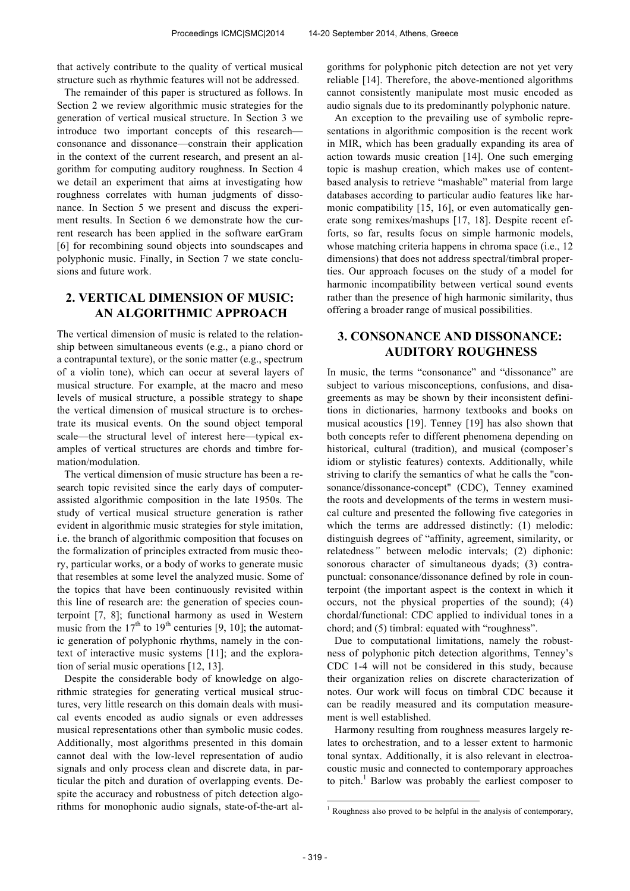that actively contribute to the quality of vertical musical structure such as rhythmic features will not be addressed.

The remainder of this paper is structured as follows. In Section 2 we review algorithmic music strategies for the generation of vertical musical structure. In Section 3 we introduce two important concepts of this research consonance and dissonance—constrain their application in the context of the current research, and present an algorithm for computing auditory roughness. In Section 4 we detail an experiment that aims at investigating how roughness correlates with human judgments of dissonance. In Section 5 we present and discuss the experiment results. In Section 6 we demonstrate how the current research has been applied in the software earGram [6] for recombining sound objects into soundscapes and polyphonic music. Finally, in Section 7 we state conclusions and future work.

# **2. VERTICAL DIMENSION OF MUSIC: AN ALGORITHMIC APPROACH**

The vertical dimension of music is related to the relationship between simultaneous events (e.g., a piano chord or a contrapuntal texture), or the sonic matter (e.g., spectrum of a violin tone), which can occur at several layers of musical structure. For example, at the macro and meso levels of musical structure, a possible strategy to shape the vertical dimension of musical structure is to orchestrate its musical events. On the sound object temporal scale—the structural level of interest here—typical examples of vertical structures are chords and timbre formation/modulation.

The vertical dimension of music structure has been a research topic revisited since the early days of computerassisted algorithmic composition in the late 1950s. The study of vertical musical structure generation is rather evident in algorithmic music strategies for style imitation, i.e. the branch of algorithmic composition that focuses on the formalization of principles extracted from music theory, particular works, or a body of works to generate music that resembles at some level the analyzed music. Some of the topics that have been continuously revisited within this line of research are: the generation of species counterpoint [7, 8]; functional harmony as used in Western music from the  $17<sup>th</sup>$  to  $19<sup>th</sup>$  centuries [9, 10]; the automatic generation of polyphonic rhythms, namely in the context of interactive music systems [11]; and the exploration of serial music operations [12, 13].

Despite the considerable body of knowledge on algorithmic strategies for generating vertical musical structures, very little research on this domain deals with musical events encoded as audio signals or even addresses musical representations other than symbolic music codes. Additionally, most algorithms presented in this domain cannot deal with the low-level representation of audio signals and only process clean and discrete data, in particular the pitch and duration of overlapping events. Despite the accuracy and robustness of pitch detection algorithms for monophonic audio signals, state-of-the-art algorithms for polyphonic pitch detection are not yet very reliable [14]. Therefore, the above-mentioned algorithms cannot consistently manipulate most music encoded as audio signals due to its predominantly polyphonic nature.

An exception to the prevailing use of symbolic representations in algorithmic composition is the recent work in MIR, which has been gradually expanding its area of action towards music creation [14]. One such emerging topic is mashup creation, which makes use of contentbased analysis to retrieve "mashable" material from large databases according to particular audio features like harmonic compatibility [15, 16], or even automatically generate song remixes/mashups [17, 18]. Despite recent efforts, so far, results focus on simple harmonic models, whose matching criteria happens in chroma space (i.e., 12) dimensions) that does not address spectral/timbral properties. Our approach focuses on the study of a model for harmonic incompatibility between vertical sound events rather than the presence of high harmonic similarity, thus offering a broader range of musical possibilities.

# **3. CONSONANCE AND DISSONANCE: AUDITORY ROUGHNESS**

In music, the terms "consonance" and "dissonance" are subject to various misconceptions, confusions, and disagreements as may be shown by their inconsistent definitions in dictionaries, harmony textbooks and books on musical acoustics [19]. Tenney [19] has also shown that both concepts refer to different phenomena depending on historical, cultural (tradition), and musical (composer's idiom or stylistic features) contexts. Additionally, while striving to clarify the semantics of what he calls the "consonance/dissonance-concept" (CDC), Tenney examined the roots and developments of the terms in western musical culture and presented the following five categories in which the terms are addressed distinctly: (1) melodic: distinguish degrees of "affinity, agreement, similarity, or relatedness*"* between melodic intervals; (2) diphonic: sonorous character of simultaneous dyads; (3) contrapunctual: consonance/dissonance defined by role in counterpoint (the important aspect is the context in which it occurs, not the physical properties of the sound); (4) chordal/functional: CDC applied to individual tones in a chord; and (5) timbral: equated with "roughness".

Due to computational limitations, namely the robustness of polyphonic pitch detection algorithms, Tenney's CDC 1-4 will not be considered in this study, because their organization relies on discrete characterization of notes. Our work will focus on timbral CDC because it can be readily measured and its computation measurement is well established.

Harmony resulting from roughness measures largely relates to orchestration, and to a lesser extent to harmonic tonal syntax. Additionally, it is also relevant in electroacoustic music and connected to contemporary approaches to pitch.<sup>1</sup> Barlow was probably the earliest composer to

j

 $1$  Roughness also proved to be helpful in the analysis of contemporary,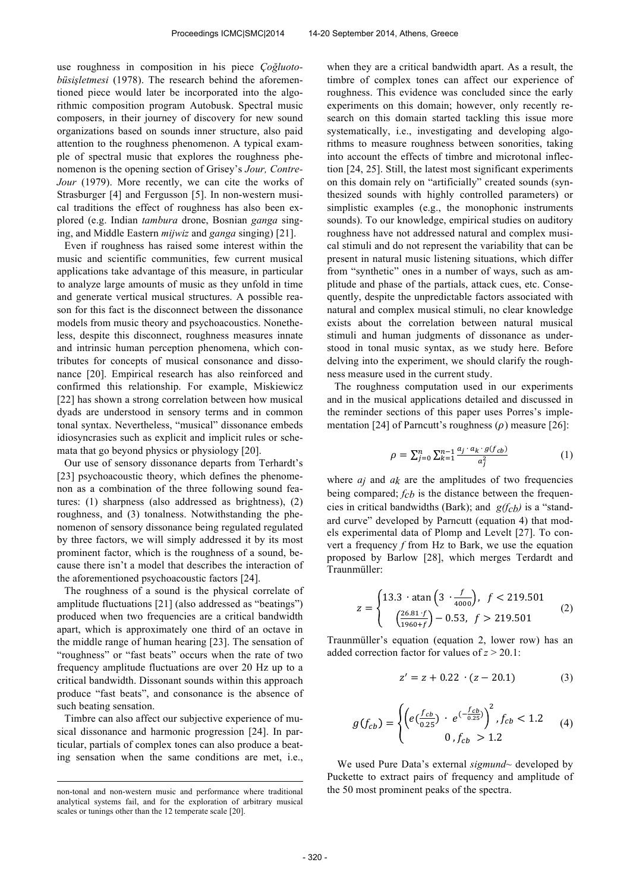use roughness in composition in his piece *Çoğluotobüsisletmesi* (1978). The research behind the aforementioned piece would later be incorporated into the algorithmic composition program Autobusk. Spectral music composers, in their journey of discovery for new sound organizations based on sounds inner structure, also paid attention to the roughness phenomenon. A typical example of spectral music that explores the roughness phenomenon is the opening section of Grisey's *Jour, Contre-Jour* (1979). More recently, we can cite the works of Strasburger [4] and Fergusson [5]. In non-western musical traditions the effect of roughness has also been explored (e.g. Indian *tambura* drone, Bosnian *ganga* singing, and Middle Eastern *mijwiz* and *ganga* singing) [21].

Even if roughness has raised some interest within the music and scientific communities, few current musical applications take advantage of this measure, in particular to analyze large amounts of music as they unfold in time and generate vertical musical structures. A possible reason for this fact is the disconnect between the dissonance models from music theory and psychoacoustics. Nonetheless, despite this disconnect, roughness measures innate and intrinsic human perception phenomena, which contributes for concepts of musical consonance and dissonance [20]. Empirical research has also reinforced and confirmed this relationship. For example, Miskiewicz [22] has shown a strong correlation between how musical dyads are understood in sensory terms and in common tonal syntax. Nevertheless, "musical" dissonance embeds idiosyncrasies such as explicit and implicit rules or schemata that go beyond physics or physiology [20].

Our use of sensory dissonance departs from Terhardt's [23] psychoacoustic theory, which defines the phenomenon as a combination of the three following sound features: (1) sharpness (also addressed as brightness), (2) roughness, and (3) tonalness. Notwithstanding the phenomenon of sensory dissonance being regulated regulated by three factors, we will simply addressed it by its most prominent factor, which is the roughness of a sound, because there isn't a model that describes the interaction of the aforementioned psychoacoustic factors [24].

The roughness of a sound is the physical correlate of amplitude fluctuations [21] (also addressed as "beatings") produced when two frequencies are a critical bandwidth apart, which is approximately one third of an octave in the middle range of human hearing [23]. The sensation of "roughness" or "fast beats" occurs when the rate of two frequency amplitude fluctuations are over 20 Hz up to a critical bandwidth. Dissonant sounds within this approach produce "fast beats", and consonance is the absence of such beating sensation.

Timbre can also affect our subjective experience of musical dissonance and harmonic progression [24]. In particular, partials of complex tones can also produce a beating sensation when the same conditions are met, i.e., when they are a critical bandwidth apart. As a result, the timbre of complex tones can affect our experience of roughness. This evidence was concluded since the early experiments on this domain; however, only recently research on this domain started tackling this issue more systematically, i.e., investigating and developing algorithms to measure roughness between sonorities, taking into account the effects of timbre and microtonal inflection [24, 25]. Still, the latest most significant experiments on this domain rely on "artificially" created sounds (synthesized sounds with highly controlled parameters) or simplistic examples (e.g., the monophonic instruments sounds). To our knowledge, empirical studies on auditory roughness have not addressed natural and complex musical stimuli and do not represent the variability that can be present in natural music listening situations, which differ from "synthetic" ones in a number of ways, such as amplitude and phase of the partials, attack cues, etc. Consequently, despite the unpredictable factors associated with natural and complex musical stimuli, no clear knowledge exists about the correlation between natural musical stimuli and human judgments of dissonance as understood in tonal music syntax, as we study here. Before delving into the experiment, we should clarify the roughness measure used in the current study.

The roughness computation used in our experiments and in the musical applications detailed and discussed in the reminder sections of this paper uses Porres's implementation [24] of Parncutt's roughness  $(\rho)$  measure [26]:

$$
\rho = \sum_{j=0}^{n} \sum_{k=1}^{n-1} \frac{a_j \cdot a_k \cdot g(f_{cb})}{a_j^2} \tag{1}
$$

where *aj* and *ak* are the amplitudes of two frequencies being compared; *fcb* is the distance between the frequencies in critical bandwidths (Bark); and *g(fcb)* is a "standard curve" developed by Parncutt (equation 4) that models experimental data of Plomp and Levelt [27]. To convert a frequency *f* from Hz to Bark, we use the equation proposed by Barlow [28], which merges Terdardt and Traunmüller:

$$
z = \begin{cases} 13.3 \cdot \operatorname{atan}\left(3 \cdot \frac{f}{4000}\right), & f < 219.501\\ \left(\frac{26.81 \cdot f}{1960 + f}\right) - 0.53, & f > 219.501 \end{cases} \tag{2}
$$

Traunmüller's equation (equation 2, lower row) has an added correction factor for values of *z* > 20.1:

$$
z' = z + 0.22 \cdot (z - 20.1) \tag{3}
$$

$$
g(f_{cb}) = \begin{cases} \left(e(\frac{f_{cb}}{0.25}) + e^{(-\frac{f_{cb}}{0.25})}\right)^2, f_{cb} < 1.2\\ 0, f_{cb} > 1.2 \end{cases} \tag{4}
$$

We used Pure Data's external *sigmund~* developed by Puckette to extract pairs of frequency and amplitude of the 50 most prominent peaks of the spectra.

j non-tonal and non-western music and performance where traditional analytical systems fail, and for the exploration of arbitrary musical scales or tunings other than the 12 temperate scale [20].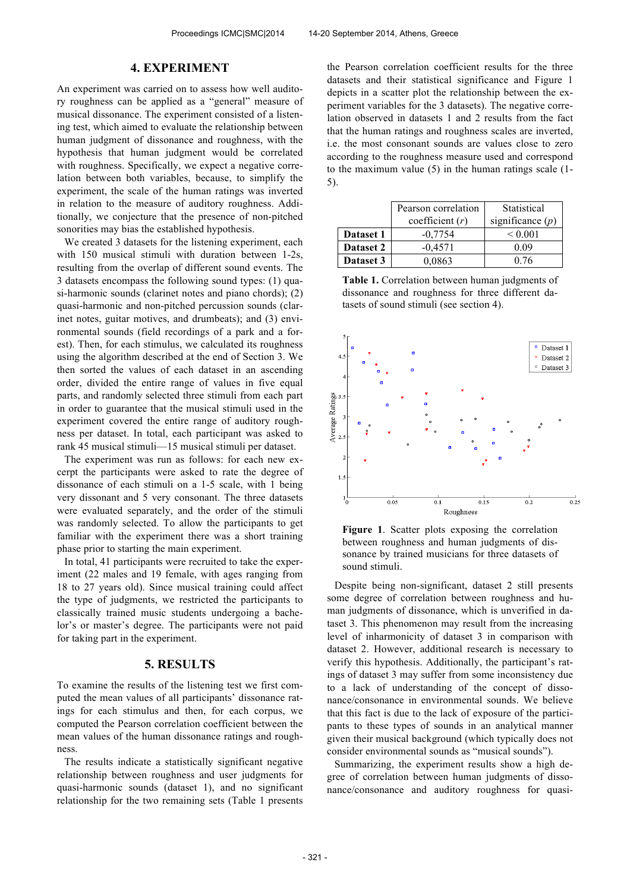## **4. EXPERIMENT**

An experiment was carried on to assess how well auditory roughness can be applied as a "general" measure of musical dissonance. The experiment consisted of a listening test, which aimed to evaluate the relationship between human judgment of dissonance and roughness, with the hypothesis that human judgment would be correlated with roughness. Specifically, we expect a negative correlation between both variables, because, to simplify the experiment, the scale of the human ratings was inverted in relation to the measure of auditory roughness. Additionally, we conjecture that the presence of non-pitched sonorities may bias the established hypothesis.

We created 3 datasets for the listening experiment, each with 150 musical stimuli with duration between 1-2s, resulting from the overlap of different sound events. The 3 datasets encompass the following sound types: (1) quasi-harmonic sounds (clarinet notes and piano chords); (2) quasi-harmonic and non-pitched percussion sounds (clarinet notes, guitar motives, and drumbeats); and (3) environmental sounds (field recordings of a park and a forest). Then, for each stimulus, we calculated its roughness using the algorithm described at the end of Section 3. We then sorted the values of each dataset in an ascending order, divided the entire range of values in five equal parts, and randomly selected three stimuli from each part in order to guarantee that the musical stimuli used in the experiment covered the entire range of auditory roughness per dataset. In total, each participant was asked to rank 45 musical stimuli—15 musical stimuli per dataset.

The experiment was run as follows: for each new excerpt the participants were asked to rate the degree of dissonance of each stimuli on a 1-5 scale, with 1 being very dissonant and 5 very consonant. The three datasets were evaluated separately, and the order of the stimuli was randomly selected. To allow the participants to get familiar with the experiment there was a short training phase prior to starting the main experiment.

In total, 41 participants were recruited to take the experiment (22 males and 19 female, with ages ranging from 18 to 27 years old). Since musical training could affect the type of judgments, we restricted the participants to classically trained music students undergoing a bachelor's or master's degree. The participants were not paid for taking part in the experiment.

# **5. RESULTS**

To examine the results of the listening test we first computed the mean values of all participants' dissonance ratings for each stimulus and then, for each corpus, we computed the Pearson correlation coefficient between the mean values of the human dissonance ratings and roughness.

The results indicate a statistically significant negative relationship between roughness and user judgments for quasi-harmonic sounds (dataset 1), and no significant relationship for the two remaining sets (Table 1 presents the Pearson correlation coefficient results for the three datasets and their statistical significance and Figure 1 depicts in a scatter plot the relationship between the experiment variables for the 3 datasets). The negative correlation observed in datasets 1 and 2 results from the fact that the human ratings and roughness scales are inverted, i.e. the most consonant sounds are values close to zero according to the roughness measure used and correspond to the maximum value (5) in the human ratings scale (1- 5).

|           | Pearson correlation | Statistical        |
|-----------|---------------------|--------------------|
|           | coefficient $(r)$   | significance $(p)$ |
| Dataset 1 | $-0.7754$           | ${}_{0.001}$       |
| Dataset 2 | $-0.4571$           | 0.09               |
| Dataset 3 | 0,0863              | 0.76               |

**Table 1.** Correlation between human judgments of dissonance and roughness for three different datasets of sound stimuli (see section 4).



**Figure 1**. Scatter plots exposing the correlation between roughness and human judgments of dissonance by trained musicians for three datasets of sound stimuli.

Despite being non-significant, dataset 2 still presents some degree of correlation between roughness and human judgments of dissonance, which is unverified in dataset 3. This phenomenon may result from the increasing level of inharmonicity of dataset 3 in comparison with dataset 2. However, additional research is necessary to verify this hypothesis. Additionally, the participant's ratings of dataset 3 may suffer from some inconsistency due to a lack of understanding of the concept of dissonance/consonance in environmental sounds. We believe that this fact is due to the lack of exposure of the participants to these types of sounds in an analytical manner given their musical background (which typically does not consider environmental sounds as "musical sounds").

Summarizing, the experiment results show a high degree of correlation between human judgments of dissonance/consonance and auditory roughness for quasi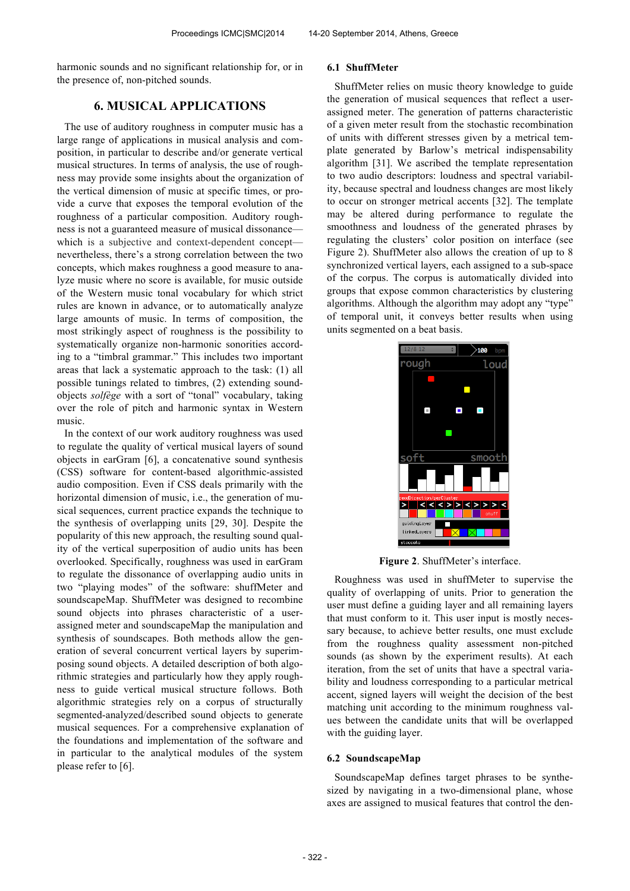harmonic sounds and no significant relationship for, or in the presence of, non-pitched sounds.

# **6. MUSICAL APPLICATIONS**

The use of auditory roughness in computer music has a large range of applications in musical analysis and composition, in particular to describe and/or generate vertical musical structures. In terms of analysis, the use of roughness may provide some insights about the organization of the vertical dimension of music at specific times, or provide a curve that exposes the temporal evolution of the roughness of a particular composition. Auditory roughness is not a guaranteed measure of musical dissonance which is a subjective and context-dependent concept nevertheless, there's a strong correlation between the two concepts, which makes roughness a good measure to analyze music where no score is available, for music outside of the Western music tonal vocabulary for which strict rules are known in advance, or to automatically analyze large amounts of music. In terms of composition, the most strikingly aspect of roughness is the possibility to systematically organize non-harmonic sonorities according to a "timbral grammar." This includes two important areas that lack a systematic approach to the task: (1) all possible tunings related to timbres, (2) extending soundobjects *solfège* with a sort of "tonal" vocabulary, taking over the role of pitch and harmonic syntax in Western music.

In the context of our work auditory roughness was used to regulate the quality of vertical musical layers of sound objects in earGram [6], a concatenative sound synthesis (CSS) software for content-based algorithmic-assisted audio composition. Even if CSS deals primarily with the horizontal dimension of music, i.e., the generation of musical sequences, current practice expands the technique to the synthesis of overlapping units [29, 30]. Despite the popularity of this new approach, the resulting sound quality of the vertical superposition of audio units has been overlooked. Specifically, roughness was used in earGram to regulate the dissonance of overlapping audio units in two "playing modes" of the software: shuffMeter and soundscapeMap. ShuffMeter was designed to recombine sound objects into phrases characteristic of a userassigned meter and soundscapeMap the manipulation and synthesis of soundscapes. Both methods allow the generation of several concurrent vertical layers by superimposing sound objects. A detailed description of both algorithmic strategies and particularly how they apply roughness to guide vertical musical structure follows. Both algorithmic strategies rely on a corpus of structurally segmented-analyzed/described sound objects to generate musical sequences. For a comprehensive explanation of the foundations and implementation of the software and in particular to the analytical modules of the system please refer to [6].

## **6.1 ShuffMeter**

ShuffMeter relies on music theory knowledge to guide the generation of musical sequences that reflect a userassigned meter. The generation of patterns characteristic of a given meter result from the stochastic recombination of units with different stresses given by a metrical template generated by Barlow's metrical indispensability algorithm [31]. We ascribed the template representation to two audio descriptors: loudness and spectral variability, because spectral and loudness changes are most likely to occur on stronger metrical accents [32]. The template may be altered during performance to regulate the smoothness and loudness of the generated phrases by regulating the clusters' color position on interface (see Figure 2). ShuffMeter also allows the creation of up to 8 synchronized vertical layers, each assigned to a sub-space of the corpus. The corpus is automatically divided into groups that expose common characteristics by clustering algorithms. Although the algorithm may adopt any "type" of temporal unit, it conveys better results when using units segmented on a beat basis.



**Figure 2**. ShuffMeter's interface.

Roughness was used in shuffMeter to supervise the quality of overlapping of units. Prior to generation the user must define a guiding layer and all remaining layers that must conform to it. This user input is mostly necessary because, to achieve better results, one must exclude from the roughness quality assessment non-pitched sounds (as shown by the experiment results). At each iteration, from the set of units that have a spectral variability and loudness corresponding to a particular metrical accent, signed layers will weight the decision of the best matching unit according to the minimum roughness values between the candidate units that will be overlapped with the guiding layer.

#### **6.2 SoundscapeMap**

SoundscapeMap defines target phrases to be synthesized by navigating in a two-dimensional plane, whose axes are assigned to musical features that control the den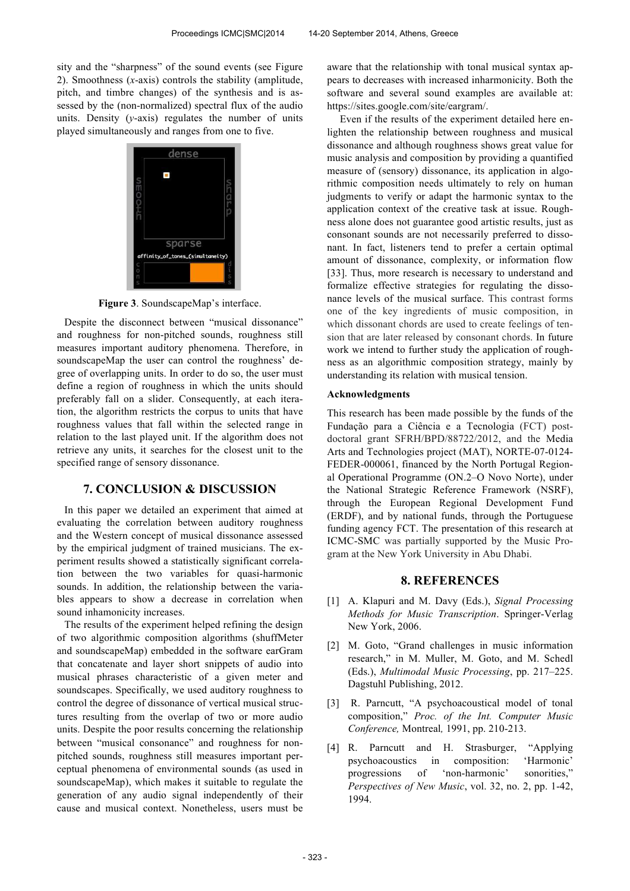sity and the "sharpness" of the sound events (see Figure 2). Smoothness (*x*-axis) controls the stability (amplitude, pitch, and timbre changes) of the synthesis and is assessed by the (non-normalized) spectral flux of the audio units. Density (*y*-axis) regulates the number of units played simultaneously and ranges from one to five.



**Figure 3**. SoundscapeMap's interface.

Despite the disconnect between "musical dissonance" and roughness for non-pitched sounds, roughness still measures important auditory phenomena. Therefore, in soundscapeMap the user can control the roughness' degree of overlapping units. In order to do so, the user must define a region of roughness in which the units should preferably fall on a slider. Consequently, at each iteration, the algorithm restricts the corpus to units that have roughness values that fall within the selected range in relation to the last played unit. If the algorithm does not retrieve any units, it searches for the closest unit to the specified range of sensory dissonance.

#### **7. CONCLUSION & DISCUSSION**

In this paper we detailed an experiment that aimed at evaluating the correlation between auditory roughness and the Western concept of musical dissonance assessed by the empirical judgment of trained musicians. The experiment results showed a statistically significant correlation between the two variables for quasi-harmonic sounds. In addition, the relationship between the variables appears to show a decrease in correlation when sound inhamonicity increases.

The results of the experiment helped refining the design of two algorithmic composition algorithms (shuffMeter and soundscapeMap) embedded in the software earGram that concatenate and layer short snippets of audio into musical phrases characteristic of a given meter and soundscapes. Specifically, we used auditory roughness to control the degree of dissonance of vertical musical structures resulting from the overlap of two or more audio units. Despite the poor results concerning the relationship between "musical consonance" and roughness for nonpitched sounds, roughness still measures important perceptual phenomena of environmental sounds (as used in soundscapeMap), which makes it suitable to regulate the generation of any audio signal independently of their cause and musical context. Nonetheless, users must be aware that the relationship with tonal musical syntax appears to decreases with increased inharmonicity. Both the software and several sound examples are available at: https://sites.google.com/site/eargram/.

 Even if the results of the experiment detailed here enlighten the relationship between roughness and musical dissonance and although roughness shows great value for music analysis and composition by providing a quantified measure of (sensory) dissonance, its application in algorithmic composition needs ultimately to rely on human judgments to verify or adapt the harmonic syntax to the application context of the creative task at issue. Roughness alone does not guarantee good artistic results, just as consonant sounds are not necessarily preferred to dissonant. In fact, listeners tend to prefer a certain optimal amount of dissonance, complexity, or information flow [33]. Thus, more research is necessary to understand and formalize effective strategies for regulating the dissonance levels of the musical surface. This contrast forms one of the key ingredients of music composition, in which dissonant chords are used to create feelings of tension that are later released by consonant chords. In future work we intend to further study the application of roughness as an algorithmic composition strategy, mainly by understanding its relation with musical tension.

#### **Acknowledgments**

This research has been made possible by the funds of the Fundação para a Ciência e a Tecnologia (FCT) postdoctoral grant SFRH/BPD/88722/2012, and the Media Arts and Technologies project (MAT), NORTE-07-0124- FEDER-000061, financed by the North Portugal Regional Operational Programme (ON.2–O Novo Norte), under the National Strategic Reference Framework (NSRF), through the European Regional Development Fund (ERDF), and by national funds, through the Portuguese funding agency FCT. The presentation of this research at ICMC-SMC was partially supported by the Music Program at the New York University in Abu Dhabi.

## **8. REFERENCES**

- [1] A. Klapuri and M. Davy (Eds.), *Signal Processing Methods for Music Transcription*. Springer-Verlag New York, 2006.
- [2] M. Goto, "Grand challenges in music information research," in M. Muller, M. Goto, and M. Schedl (Eds.), *Multimodal Music Processing*, pp. 217–225. Dagstuhl Publishing, 2012.
- [3] R. Parncutt, "A psychoacoustical model of tonal composition," *Proc. of the Int. Computer Music Conference,* Montreal*,* 1991, pp. 210-213.
- [4] R. Parncutt and H. Strasburger, "Applying psychoacoustics in composition: 'Harmonic' progressions of 'non-harmonic' sonorities," *Perspectives of New Music*, vol. 32, no. 2, pp. 1-42, 1994.